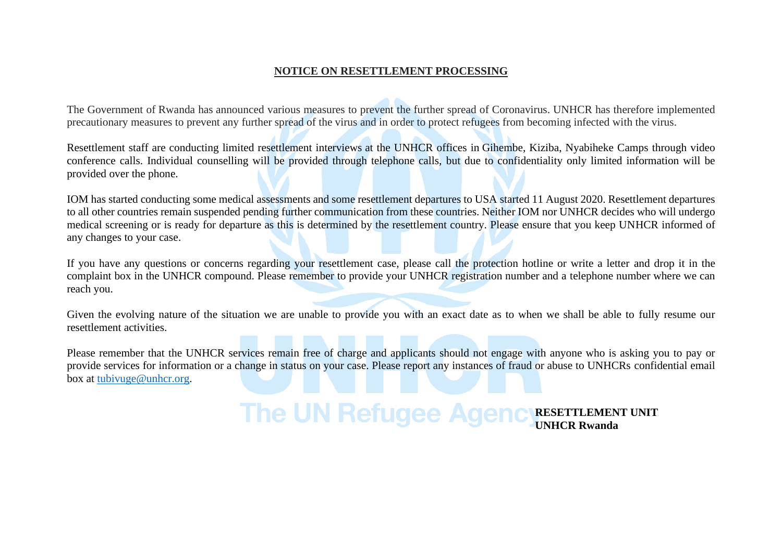### **NOTICE ON RESETTLEMENT PROCESSING**

The Government of Rwanda has announced various measures to prevent the further spread of Coronavirus. UNHCR has therefore implemented precautionary measures to prevent any further spread of the virus and in order to protect refugees from becoming infected with the virus.

Resettlement staff are conducting limited resettlement interviews at the UNHCR offices in Gihembe, Kiziba, Nyabiheke Camps through video conference calls. Individual counselling will be provided through telephone calls, but due to confidentiality only limited information will be provided over the phone.

IOM has started conducting some medical assessments and some resettlement departures to USA started 11 August 2020. Resettlement departures to all other countries remain suspended pending further communication from these countries. Neither IOM nor UNHCR decides who will undergo medical screening or is ready for departure as this is determined by the resettlement country. Please ensure that you keep UNHCR informed of any changes to your case.

If you have any questions or concerns regarding your resettlement case, please call the protection hotline or write a letter and drop it in the complaint box in the UNHCR compound. Please remember to provide your UNHCR registration number and a telephone number where we can reach you.

Given the evolving nature of the situation we are unable to provide you with an exact date as to when we shall be able to fully resume our resettlement activities.

Please remember that the UNHCR services remain free of charge and applicants should not engage with anyone who is asking you to pay or provide services for information or a change in status on your case. Please report any instances of fraud or abuse to UNHCRs confidential email box at [tubivuge@unhcr.org.](mailto:tubivuge@unhcr.org)

**The UN Refugee Age** 

**C** RESETTLEMENT UNIT **UNHCR Rwanda**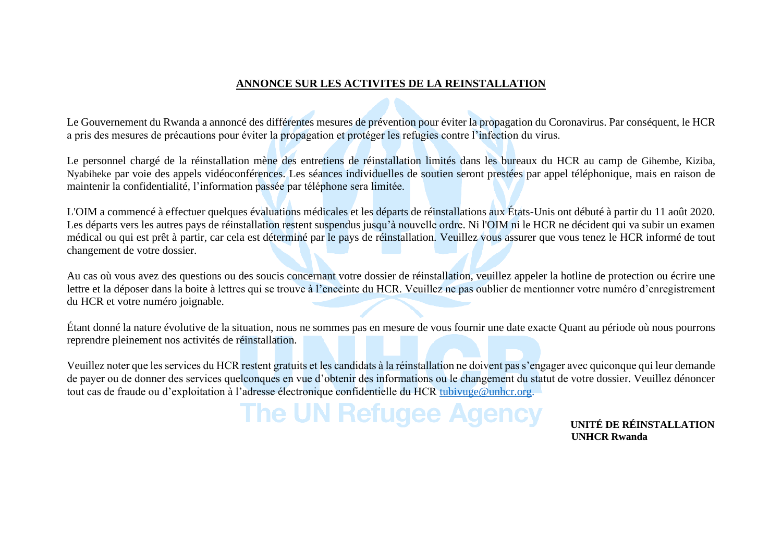## **ANNONCE SUR LES ACTIVITES DE LA REINSTALLATION**

Le Gouvernement du Rwanda a annoncé des différentes mesures de prévention pour éviter la propagation du Coronavirus. Par conséquent, le HCR a pris des mesures de précautions pour éviter la propagation et protéger les refugies contre l'infection du virus.

Le personnel chargé de la réinstallation mène des entretiens de réinstallation limités dans les bureaux du HCR au camp de Gihembe, Kiziba, Nyabiheke par voie des appels vidéoconférences. Les séances individuelles de soutien seront prestées par appel téléphonique, mais en raison de maintenir la confidentialité, l'information passée par téléphone sera limitée.

L'OIM a commencé à effectuer quelques évaluations médicales et les départs de réinstallations aux États-Unis ont débuté à partir du 11 août 2020. Les départs vers les autres pays de réinstallation restent suspendus jusqu'à nouvelle ordre. Ni l'OIM ni le HCR ne décident qui va subir un examen médical ou qui est prêt à partir, car cela est déterminé par le pays de réinstallation. Veuillez vous assurer que vous tenez le HCR informé de tout changement de votre dossier.

Au cas où vous avez des questions ou des soucis concernant votre dossier de réinstallation, veuillez appeler la hotline de protection ou écrire une lettre et la déposer dans la boite à lettres qui se trouve à l'enceinte du HCR. Veuillez ne pas oublier de mentionner votre numéro d'enregistrement du HCR et votre numéro joignable.

Étant donné la nature évolutive de la situation, nous ne sommes pas en mesure de vous fournir une date exacte Quant au période où nous pourrons reprendre pleinement nos activités de réinstallation.

Veuillez noter que les services du HCR restent gratuits et les candidats à la réinstallation ne doivent pas s'engager avec quiconque qui leur demande de payer ou de donner des services quelconques en vue d'obtenir des informations ou le changement du statut de votre dossier. Veuillez dénoncer tout cas de fraude ou d'exploitation à l'adresse électronique confidentielle du HCR [tubivuge@unhcr.org.](mailto:tubivuge@unhcr.org)

# **The UN Refugee Agency INTEDE RÉINSTALLATION**

 **UNHCR Rwanda**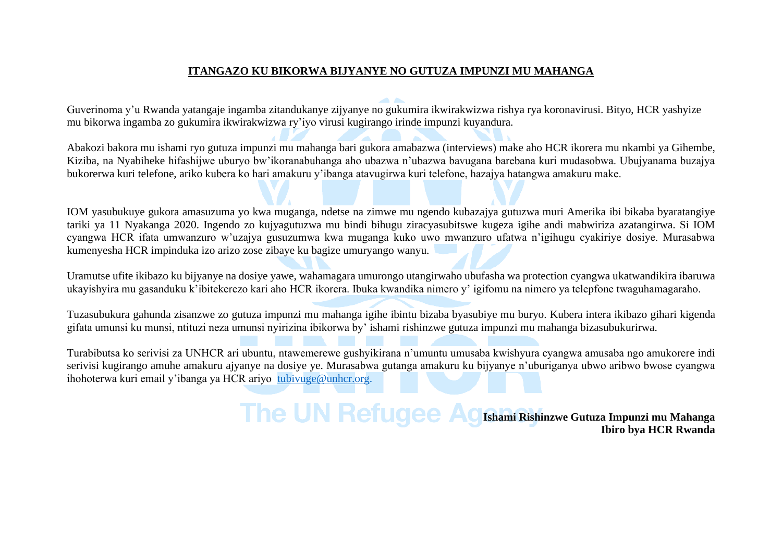### **ITANGAZO KU BIKORWA BIJYANYE NO GUTUZA IMPUNZI MU MAHANGA**

Guverinoma y'u Rwanda yatangaje ingamba zitandukanye zijyanye no gukumira ikwirakwizwa rishya rya koronavirusi. Bityo, HCR yashyize mu bikorwa ingamba zo gukumira ikwirakwizwa ry'iyo virusi kugirango irinde impunzi kuyandura.

Abakozi bakora mu ishami ryo gutuza impunzi mu mahanga bari gukora amabazwa (interviews) make aho HCR ikorera mu nkambi ya Gihembe, Kiziba, na Nyabiheke hifashijwe uburyo bw'ikoranabuhanga aho ubazwa n'ubazwa bavugana barebana kuri mudasobwa. Ubujyanama buzajya bukorerwa kuri telefone, ariko kubera ko hari amakuru y'ibanga atavugirwa kuri telefone, hazajya hatangwa amakuru make.

IOM yasubukuye gukora amasuzuma yo kwa muganga, ndetse na zimwe mu ngendo kubazajya gutuzwa muri Amerika ibi bikaba byaratangiye tariki ya 11 Nyakanga 2020. Ingendo zo kujyagutuzwa mu bindi bihugu ziracyasubitswe kugeza igihe andi mabwiriza azatangirwa. Si IOM cyangwa HCR ifata umwanzuro w'uzajya gusuzumwa kwa muganga kuko uwo mwanzuro ufatwa n'igihugu cyakiriye dosiye. Murasabwa kumenyesha HCR impinduka izo arizo zose zibaye ku bagize umuryango wanyu.

Uramutse ufite ikibazo ku bijyanye na dosiye yawe, wahamagara umurongo utangirwaho ubufasha wa protection cyangwa ukatwandikira ibaruwa ukayishyira mu gasanduku k'ibitekerezo kari aho HCR ikorera. Ibuka kwandika nimero y' igifomu na nimero ya telepfone twaguhamagaraho.

Tuzasubukura gahunda zisanzwe zo gutuza impunzi mu mahanga igihe ibintu bizaba byasubiye mu buryo. Kubera intera ikibazo gihari kigenda gifata umunsi ku munsi, ntituzi neza umunsi nyirizina ibikorwa by' ishami rishinzwe gutuza impunzi mu mahanga bizasubukurirwa.

Turabibutsa ko serivisi za UNHCR ari ubuntu, ntawemerewe gushyikirana n'umuntu umusaba kwishyura cyangwa amusaba ngo amukorere indi serivisi kugirango amuhe amakuru ajyanye na dosiye ye. Murasabwa gutanga amakuru ku bijyanye n'uburiganya ubwo aribwo bwose cyangwa ihohoterwa kuri email y'ibanga ya HCR ariyo [tubivuge@unhcr.org.](mailto:tubivuge@unhcr.org)

> **The UN Refugee Ad Ishami Rishinzwe Gutuza Impunzi mu Mahanga Ibiro bya HCR Rwanda**